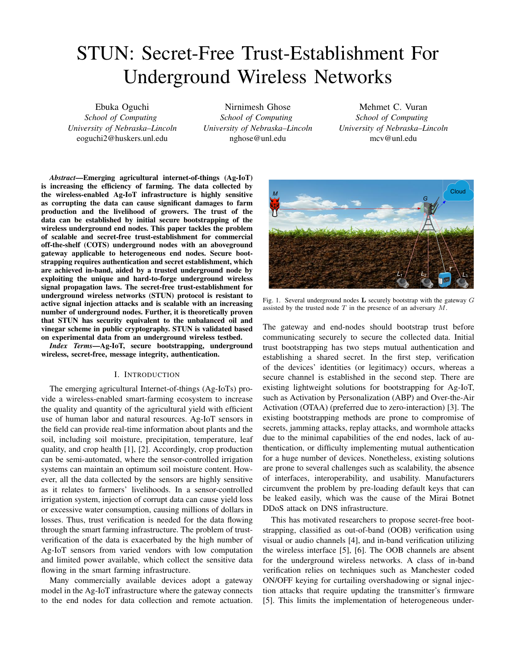# STUN: Secret-Free Trust-Establishment For Underground Wireless Networks

Ebuka Oguchi *School of Computing University of Nebraska–Lincoln* eoguchi2@huskers.unl.edu

Nirnimesh Ghose *School of Computing University of Nebraska–Lincoln* nghose@unl.edu

Mehmet C. Vuran *School of Computing University of Nebraska–Lincoln* mcv@unl.edu

*Abstract*—Emerging agricultural internet-of-things (Ag-IoT) is increasing the efficiency of farming. The data collected by the wireless-enabled Ag-IoT infrastructure is highly sensitive as corrupting the data can cause significant damages to farm production and the livelihood of growers. The trust of the data can be established by initial secure bootstrapping of the wireless underground end nodes. This paper tackles the problem of scalable and secret-free trust-establishment for commercial off-the-shelf (COTS) underground nodes with an aboveground gateway applicable to heterogeneous end nodes. Secure bootstrapping requires authentication and secret establishment, which are achieved in-band, aided by a trusted underground node by exploiting the unique and hard-to-forge underground wireless signal propagation laws. The secret-free trust-establishment for underground wireless networks (STUN) protocol is resistant to active signal injection attacks and is scalable with an increasing number of underground nodes. Further, it is theoretically proven that STUN has security equivalent to the unbalanced oil and vinegar scheme in public cryptography. STUN is validated based on experimental data from an underground wireless testbed.

*Index Terms*—Ag-IoT, secure bootstrapping, underground wireless, secret-free, message integrity, authentication.

# I. INTRODUCTION

The emerging agricultural Internet-of-things (Ag-IoTs) provide a wireless-enabled smart-farming ecosystem to increase the quality and quantity of the agricultural yield with efficient use of human labor and natural resources. Ag-IoT sensors in the field can provide real-time information about plants and the soil, including soil moisture, precipitation, temperature, leaf quality, and crop health [1], [2]. Accordingly, crop production can be semi-automated, where the sensor-controlled irrigation systems can maintain an optimum soil moisture content. However, all the data collected by the sensors are highly sensitive as it relates to farmers' livelihoods. In a sensor-controlled irrigation system, injection of corrupt data can cause yield loss or excessive water consumption, causing millions of dollars in losses. Thus, trust verification is needed for the data flowing through the smart farming infrastructure. The problem of trustverification of the data is exacerbated by the high number of Ag-IoT sensors from varied vendors with low computation and limited power available, which collect the sensitive data flowing in the smart farming infrastructure.

Many commercially available devices adopt a gateway model in the Ag-IoT infrastructure where the gateway connects to the end nodes for data collection and remote actuation.



Fig. 1. Several underground nodes  **securely bootstrap with the gateway**  $G$ assisted by the trusted node  $T$  in the presence of an adversary  $M$ .

The gateway and end-nodes should bootstrap trust before communicating securely to secure the collected data. Initial trust bootstrapping has two steps mutual authentication and establishing a shared secret. In the first step, verification of the devices' identities (or legitimacy) occurs, whereas a secure channel is established in the second step. There are existing lightweight solutions for bootstrapping for Ag-IoT, such as Activation by Personalization (ABP) and Over-the-Air Activation (OTAA) (preferred due to zero-interaction) [3]. The existing bootstrapping methods are prone to compromise of secrets, jamming attacks, replay attacks, and wormhole attacks due to the minimal capabilities of the end nodes, lack of authentication, or difficulty implementing mutual authentication for a huge number of devices. Nonetheless, existing solutions are prone to several challenges such as scalability, the absence of interfaces, interoperability, and usability. Manufacturers circumvent the problem by pre-loading default keys that can be leaked easily, which was the cause of the Mirai Botnet DDoS attack on DNS infrastructure.

This has motivated researchers to propose secret-free bootstrapping, classified as out-of-band (OOB) verification using visual or audio channels [4], and in-band verification utilizing the wireless interface [5], [6]. The OOB channels are absent for the underground wireless networks. A class of in-band verification relies on techniques such as Manchester coded ON/OFF keying for curtailing overshadowing or signal injection attacks that require updating the transmitter's firmware [5]. This limits the implementation of heterogeneous under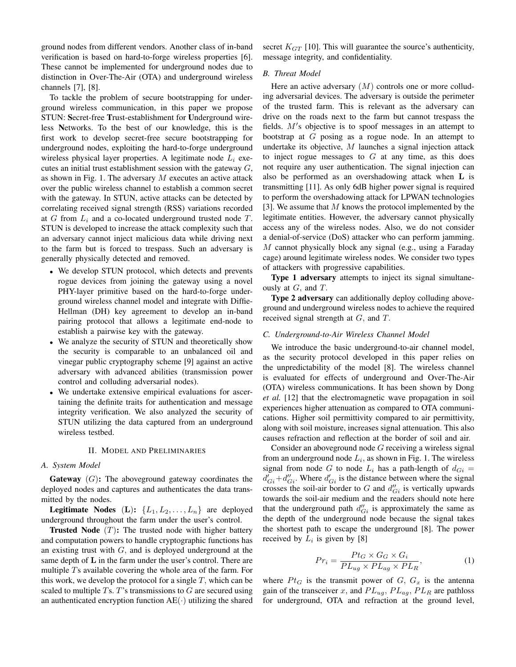ground nodes from different vendors. Another class of in-band verification is based on hard-to-forge wireless properties [6]. These cannot be implemented for underground nodes due to distinction in Over-The-Air (OTA) and underground wireless channels [7], [8].

To tackle the problem of secure bootstrapping for underground wireless communication, in this paper we propose STUN: Secret-free Trust-establishment for Underground wireless Networks. To the best of our knowledge, this is the first work to develop secret-free secure bootstrapping for underground nodes, exploiting the hard-to-forge underground wireless physical layer properties. A legitimate node  $L_i$  executes an initial trust establishment session with the gateway  $G$ , as shown in Fig. 1. The adversary  $M$  executes an active attack over the public wireless channel to establish a common secret with the gateway. In STUN, active attacks can be detected by correlating received signal strength (RSS) variations recorded at G from  $L_i$  and a co-located underground trusted node  $T$ . STUN is developed to increase the attack complexity such that an adversary cannot inject malicious data while driving next to the farm but is forced to trespass. Such an adversary is generally physically detected and removed.

- We develop STUN protocol, which detects and prevents rogue devices from joining the gateway using a novel PHY-layer primitive based on the hard-to-forge underground wireless channel model and integrate with Diffie-Hellman (DH) key agreement to develop an in-band pairing protocol that allows a legitimate end-node to establish a pairwise key with the gateway.
- We analyze the security of STUN and theoretically show the security is comparable to an unbalanced oil and vinegar public cryptography scheme [9] against an active adversary with advanced abilities (transmission power control and colluding adversarial nodes).
- We undertake extensive empirical evaluations for ascertaining the definite traits for authentication and message integrity verification. We also analyzed the security of STUN utilizing the data captured from an underground wireless testbed.

#### II. MODEL AND PRELIMINARIES

# *A. System Model*

**Gateway**  $(G)$ : The aboveground gateway coordinates the deployed nodes and captures and authenticates the data transmitted by the nodes.

**Legitimate Nodes** (L):  $\{L_1, L_2, \ldots, L_n\}$  are deployed underground throughout the farm under the user's control.

**Trusted Node**  $(T)$ : The trusted node with higher battery and computation powers to handle cryptographic functions has an existing trust with  $G$ , and is deployed underground at the same depth of  $L$  in the farm under the user's control. There are multiple Ts available covering the whole area of the farm. For this work, we develop the protocol for a single  $T$ , which can be scaled to multiple  $T$ s.  $T$ 's transmissions to  $G$  are secured using an authenticated encryption function  $AE(\cdot)$  utilizing the shared secret  $K_{GT}$  [10]. This will guarantee the source's authenticity, message integrity, and confidentiality.

# *B. Threat Model*

Here an active adversary  $(M)$  controls one or more colluding adversarial devices. The adversary is outside the perimeter of the trusted farm. This is relevant as the adversary can drive on the roads next to the farm but cannot trespass the fields. M's objective is to spoof messages in an attempt to bootstrap at  $G$  posing as a rogue node. In an attempt to undertake its objective,  $M$  launches a signal injection attack to inject rogue messages to  $G$  at any time, as this does not require any user authentication. The signal injection can also be performed as an overshadowing attack when L is transmitting [11]. As only 6dB higher power signal is required to perform the overshadowing attack for LPWAN technologies [3]. We assume that  $M$  knows the protocol implemented by the legitimate entities. However, the adversary cannot physically access any of the wireless nodes. Also, we do not consider a denial-of-service (DoS) attacker who can perform jamming. M cannot physically block any signal (e.g., using a Faraday cage) around legitimate wireless nodes. We consider two types of attackers with progressive capabilities.

Type 1 adversary attempts to inject its signal simultaneously at  $G$ , and  $T$ .

Type 2 adversary can additionally deploy colluding aboveground and underground wireless nodes to achieve the required received signal strength at G, and T.

## *C. Underground-to-Air Wireless Channel Model*

We introduce the basic underground-to-air channel model, as the security protocol developed in this paper relies on the unpredictability of the model [8]. The wireless channel is evaluated for effects of underground and Over-The-Air (OTA) wireless communications. It has been shown by Dong *et al.* [12] that the electromagnetic wave propagation in soil experiences higher attenuation as compared to OTA communications. Higher soil permittivity compared to air permittivity, along with soil moisture, increases signal attenuation. This also causes refraction and reflection at the border of soil and air.

Consider an aboveground node  $G$  receiving a wireless signal from an underground node  $L_i$ , as shown in Fig. 1. The wireless signal from node G to node  $L_i$  has a path-length of  $d_{Gi} =$  $d'_{Gi} + d''_{Gi}$ . Where  $d'_{Gi}$  is the distance between where the signal crosses the soil-air border to G and  $d''_{Gi}$  is vertically upwards towards the soil-air medium and the readers should note here that the underground path  $d''_{Gi}$  is approximately the same as the depth of the underground node because the signal takes the shortest path to escape the underground [8]. The power received by  $L_i$  is given by [8]

$$
Pr_i = \frac{Pt_G \times G_G \times G_i}{PL_{ug} \times PL_{ag} \times PL_R},
$$
 (1)

where  $Pt_G$  is the transmit power of  $G, G_x$  is the antenna gain of the transceiver x, and  $PL_{uq}$ ,  $PL_{aq}$ ,  $PL_{R}$  are pathloss for underground, OTA and refraction at the ground level,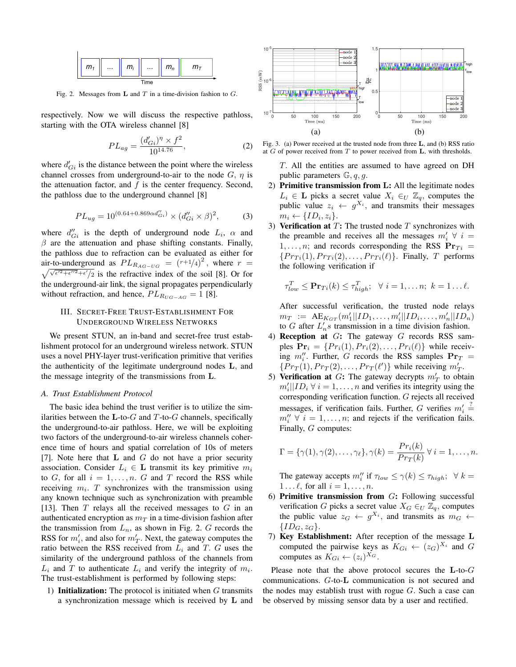

Fig. 2. Messages from  $L$  and  $T$  in a time-division fashion to  $G$ .

respectively. Now we will discuss the respective pathloss, starting with the OTA wireless channel [8]

$$
PL_{ag} = \frac{(d'_{Gi})^{\eta} \times f^2}{10^{14.76}},\tag{2}
$$

where  $d'_{Gi}$  is the distance between the point where the wireless channel crosses from underground-to-air to the node  $G, \eta$  is the attenuation factor, and  $f$  is the center frequency. Second, the pathloss due to the underground channel [8]

$$
PL_{ug} = 10^{(0.64 + 0.869 \alpha d'_{Gi})} \times (d''_{Gi} \times \beta)^2, \tag{3}
$$

where  $d''_{Gi}$  is the depth of underground node  $L_i$ ,  $\alpha$  and  $\beta$  are the attenuation and phase shifting constants. Finally, the pathloss due to refraction can be evaluated as either for air-to-underground as  $PL_{R_{AG-UG}} = (r+1/4)^2$ , where  $r = \sqrt{\sqrt{\epsilon'^2 + \epsilon'^2 + \epsilon'}/2}$  is the refractive index of the soil [8]. Or for  $\sqrt{\epsilon'^2+\epsilon''^2+\epsilon'}/2$  is the refractive index of the soil [8]. Or for the underground-air link, the signal propagates perpendicularly without refraction, and hence,  $PL_{R_{UG-AG}} = 1$  [8].

# III. SECRET-FREE TRUST-ESTABLISHMENT FOR UNDERGROUND WIRELESS NETWORKS

We present STUN, an in-band and secret-free trust establishment protocol for an underground wireless network. STUN uses a novel PHY-layer trust-verification primitive that verifies the authenticity of the legitimate underground nodes L, and the message integrity of the transmissions from L.

#### *A. Trust Establishment Protocol*

The basic idea behind the trust verifier is to utilize the similarities between the L-to- $G$  and T-to- $G$  channels, specifically the underground-to-air pathloss. Here, we will be exploiting two factors of the underground-to-air wireless channels coherence time of hours and spatial correlation of 10s of meters [7]. Note here that  $L$  and  $G$  do not have a prior security association. Consider  $L_i \in \mathbf{L}$  transmit its key primitive  $m_i$ to G, for all  $i = 1, \ldots, n$ . G and T record the RSS while receiving  $m_i$ . T synchronizes with the transmission using any known technique such as synchronization with preamble [13]. Then  $T$  relays all the received messages to  $G$  in an authenticated encryption as  $m<sub>T</sub>$  in a time-division fashion after the transmission from  $L_n$ , as shown in Fig. 2.  $G$  records the RSS for  $m'_i$ , and also for  $m'_T$ . Next, the gateway computes the ratio between the RSS received from  $L_i$  and T. G uses the similarity of the underground pathloss of the channels from  $L_i$  and  $T$  to authenticate  $L_i$  and verify the integrity of  $m_i$ . The trust-establishment is performed by following steps: circles). Sow we will discuss the respective pairhood in  $e^{i\theta}$  and  $e^{i\theta}$  and  $e^{i\theta}$  and  $e^{i\theta}$  as the discussed by the synchronization message which is reduced by an  $e^{i\theta}$  and  $e^{i\theta}$  and  $e^{i\theta}$  and  $e^{i\theta$ 

1) **Initialization:** The protocol is initiated when  $G$  transmits





T. All the entities are assumed to have agreed on DH public parameters  $\mathbb{G}, q, q$ .

- 2) Primitive transmission from L: All the legitimate nodes  $L_i \in \mathbf{L}$  picks a secret value  $X_i \in_U \mathbb{Z}_q$ , computes the public value  $z_i \leftarrow g^{X_i}$ , and transmits their messages  $m_i \leftarrow \{ID_i, z_i\}.$
- 3) Verification at  $T$ : The trusted node  $T$  synchronizes with the preamble and receives all the messages  $m'_i \forall i =$  $1, \ldots, n$ ; and records corresponding the RSS  $Pr_{Ti}$  =  $\{Pr_{Ti}(1), Pr_{Ti}(2), \ldots, Pr_{Ti}(\ell)\}\$ . Finally, T performs the following verification if

$$
\tau_{low}^T \leq \mathbf{Pr}_{Ti}(k) \leq \tau_{high}^T; \ \ \forall \ i = 1, \dots n; \ k = 1 \dots \ell.
$$

After successful verification, the trusted node relays  $m_T$  :=  $AE_{K_{GT}}(m'_1 || ID_1, ..., m'_i || ID_i, ..., m'_n || ID_n)$ to G after  $L'_n$ s transmission in a time division fashion.

- 4) Reception at  $G$ : The gateway  $G$  records RSS samples  $\mathbf{Pr}_i = \{Pr_i(1), Pr_i(2), \dots, Pr_i(\ell)\}\$  while receiving  $m''_i$ . Further, G records the RSS samples  $Pr_T =$  $\{Pr_T(1), Pr_T(2), \ldots, Pr_T(\ell')\}$  while receiving  $m'_T$ .
- 5) Verification at G: The gateway decrypts  $m'_T$  to obtain  $m'_{i} || ID_{i} \ \forall \ i = 1, \dots, n$  and verifies its integrity using the corresponding verification function. G rejects all received messages, if verification fails. Further, G verifies  $m'_i \stackrel{?}{=}$  $m''_i \ \forall \ i = 1, \dots, n;$  and rejects if the verification fails. Finally, G computes:

$$
\Gamma = \{\gamma(1), \gamma(2), \dots, \gamma_{\ell}\}, \gamma(k) = \frac{Pr_i(k)}{Pr_T(k)} \ \forall \ i = 1, \dots, n.
$$

The gateway accepts  $m''_i$  if  $\tau_{low} \leq \gamma(k) \leq \tau_{high}$ ;  $\forall k =$  $1 \ldots \ell$ , for all  $i = 1, \ldots, n$ .

- 6) Primitive transmission from  $G$ : Following successful verification G picks a secret value  $X_G \in U \mathbb{Z}_q$ , computes the public value  $z_G \leftarrow g^{X_i}$ , and transmits as  $m_G \leftarrow$  $\{ID_G, z_G\}.$
- 7) Key Establishment: After reception of the message L computed the pairwise keys as  $K_{Gi} \leftarrow (z_G)^{X_i}$  and G computes as  $K_{Gi} \leftarrow (z_i)^{X_G}$ .

Please note that the above protocol secures the L-to-G communications. G-to-L communication is not secured and the nodes may establish trust with rogue  $G$ . Such a case can be observed by missing sensor data by a user and rectified.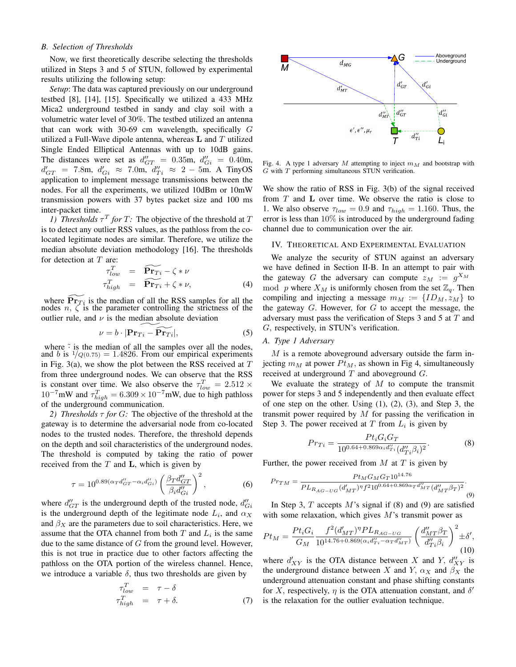# *B. Selection of Thresholds*

Now, we first theoretically describe selecting the thresholds utilized in Steps 3 and 5 of STUN, followed by experimental results utilizing the following setup:

*Setup*: The data was captured previously on our underground testbed [8], [14], [15]. Specifically we utilized a 433 MHz Mica2 underground testbed in sandy and clay soil with a volumetric water level of 30%. The testbed utilized an antenna that can work with 30-69 cm wavelength, specifically G utilized a Full-Wave dipole antenna, whereas  **and**  $T$  **utilized** Single Ended Elliptical Antennas with up to 10dB gains. The distances were set as  $d''_{GT} = 0.35$ m,  $d''_{Gi} = 0.40$ m,  $d'_{GT}$  = 7.8m,  $d'_{Gi} \approx 7.0$ m,  $d''_{Ti} \approx 2 - 5$ m. A TinyOS application to implement message transmissions between the nodes. For all the experiments, we utilized 10dBm or 10mW transmission powers with 37 bytes packet size and 100 ms inter-packet time.

*1)* Thresholds  $\tau^T$  for T: The objective of the threshold at T is to detect any outlier RSS values, as the pathloss from the colocated legitimate nodes are similar. Therefore, we utilize the median absolute deviation methodology [16]. The thresholds for detection at  $T$  are:

$$
\tau_{low}^T = \widetilde{\mathbf{Pr}_{Ti}} - \zeta * \nu \tau_{high}^T = \widetilde{\mathbf{Pr}_{Ti}} + \zeta * \nu,
$$
\n(4)

where  $\widetilde{\Pr}_{T_i}$  is the median of all the RSS samples for all the nodes  $n, \zeta$  is the parameter controlling the strictness of the outlier rule, and  $\nu$  is the median absolute deviation

$$
\nu = b \cdot |\widetilde{\mathbf{Pr}_{Ti} - \widetilde{\mathbf{Pr}_{Ti}}}|, \tag{5}
$$

where  $\tilde{\cdot}$  is the median of all the samples over all the nodes, and b is  $\frac{1}{Q(0.75)} = 1.4826$ . From our empirical experiments in Fig. 3(a), we show the plot between the RSS received at  $T$ from three underground nodes. We can observe that the RSS is constant over time. We also observe the  $\tau_{low}^T = 2.512 \times$  $10^{-7}$ mW and  $\tau_{high}^T = 6.309 \times 10^{-7}$ mW, due to high pathloss of the underground communication.

*2) Thresholds* τ *for* G*:* The objective of the threshold at the gateway is to determine the adversarial node from co-located nodes to the trusted nodes. Therefore, the threshold depends on the depth and soil characteristics of the underground nodes. The threshold is computed by taking the ratio of power received from the  $T$  and  $L$ , which is given by

$$
\tau = 10^{0.89(\alpha_T d'_{GT} - \alpha_i d''_{Gi})} \left(\frac{\beta_T d''_{GT}}{\beta_i d''_{Gi}}\right)^2, \tag{6}
$$

where  $d''_{GT}$  is the underground depth of the trusted node,  $d''_{Gi}$ is the underground depth of the legitimate node  $L_i$ , and  $\alpha_X$ and  $\beta_X$  are the parameters due to soil characteristics. Here, we assume that the OTA channel from both  $T$  and  $L_i$  is the same due to the same distance of  $G$  from the ground level. However, this is not true in practice due to other factors affecting the pathloss on the OTA portion of the wireless channel. Hence, we introduce a variable  $\delta$ , thus two thresholds are given by

$$
\tau_{low}^T = \tau - \delta
$$
\n
$$
\tau_{high}^T = \tau + \delta.
$$
\n(7)



Fig. 4. A type 1 adversary M attempting to inject  $m<sub>M</sub>$  and bootstrap with  $G$  with  $T$  performing simultaneous  $STUN$  verification.

We show the ratio of RSS in Fig. 3(b) of the signal received from  $T$  and  $L$  over time. We observe the ratio is close to 1. We also observe  $\tau_{low} = 0.9$  and  $\tau_{high} = 1.160$ . Thus, the error is less than 10% is introduced by the underground fading channel due to communication over the air.

# IV. THEORETICAL AND EXPERIMENTAL EVALUATION

We analyze the security of STUN against an adversary we have defined in Section II-B. In an attempt to pair with the gateway G the adversary can compute  $z_M := g^{X_M}$ mod p where  $X_M$  is uniformly chosen from the set  $\mathbb{Z}_q$ . Then compiling and injecting a message  $m_M := \{ID_M, z_M\}$  to the gateway  $G$ . However, for  $G$  to accept the message, the adversary must pass the verification of Steps 3 and 5 at T and G, respectively, in STUN's verification.

#### *A. Type 1 Adversary*

 $M$  is a remote aboveground adversary outside the farm injecting  $m_M$  at power  $Pt_M$ , as shown in Fig 4, simultaneously received at underground  $T$  and aboveground  $G$ .

We evaluate the strategy of  $M$  to compute the transmit power for steps 3 and 5 independently and then evaluate effect of one step on the other. Using (1), (2), (3), and Step 3, the transmit power required by M for passing the verification in Step 3. The power received at  $T$  from  $L_i$  is given by

$$
Pr_{Ti} = \frac{Pt_i G_i G_T}{10^{0.64 + 0.869 \alpha_i d_{Ti}''} (d_{Ti}'' \beta_i)^2}.
$$
 (8)

Further, the power received from  $M$  at  $T$  is given by

$$
Pr_{TM} = \frac{Pt_M G_M G_T 10^{14.76}}{PL_{R_{AG-UG}}(d'_{MT})^{\eta} f^2 10^{0.64+0.869\alpha_T d''_{MT}} (d''_{MT}\beta_T)^2}.
$$
\n(9)

In Step 3,  $T$  accepts  $M$ 's signal if (8) and (9) are satisfied with some relaxation, which gives  $M$ 's transmit power as

$$
Pt_M = \frac{Pt_i G_i}{G_M} \frac{f^2 (d'_{MT})^{\eta} PL_{R_{AG-UG}}}{10^{14.76 + 0.869(\alpha_i d''_{Ti} - \alpha_T d''_{MT})}} \left(\frac{d''_{MT} \beta_T}{d''_{Ti} \beta_i}\right)^2 \pm \delta',\tag{10}
$$

where  $d'_{XY}$  is the OTA distance between X and Y,  $d''_{XY}$  is the underground distance between X and Y,  $\alpha_X$  and  $\beta_X$  the underground attenuation constant and phase shifting constants for X, respectively,  $\eta$  is the OTA attenuation constant, and  $\delta'$ is the relaxation for the outlier evaluation technique.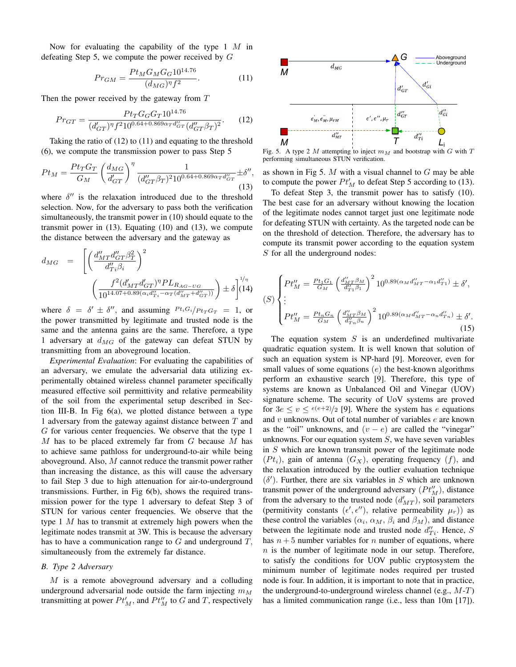Now for evaluating the capability of the type  $1 \t M$  in defeating Step 5, we compute the power received by  $G$ 

$$
Pr_{GM} = \frac{Pt_M G_M G_G 10^{14.76}}{(d_{MG})^{\eta} f^2}.
$$
 (11)

Then the power received by the gateway from T

$$
Pr_{GT} = \frac{Pt_T G_G G_T 10^{14.76}}{(d'_{GT})^{\eta} f^2 10^{0.64 + 0.869 \alpha_T d''_{GT}} (d''_{GT} \beta_T)^2}.
$$
 (12)

Taking the ratio of (12) to (11) and equating to the threshold (6), we compute the transmission power to pass Step 5

$$
Pt_M = \frac{Pt_T G_T}{G_M} \left(\frac{d_{MG}}{d'_{GT}}\right)^{\eta} \frac{1}{(d''_{GT}\beta_T)^2 10^{0.64 + 0.869\alpha_T d''_{GT}}} \pm \delta'',
$$
\n(13)

where  $\delta''$  is the relaxation introduced due to the threshold selection. Now, for the adversary to pass both the verification simultaneously, the transmit power in (10) should equate to the transmit power in (13). Equating (10) and (13), we compute the distance between the adversary and the gateway as

$$
d_{MG} = \left[ \left( \frac{d_{MT}^{\prime d} d_{GT}^{\prime \prime} \beta_T^2}{d_{Ti}^{\prime \prime} \beta_i} \right)^2 \right. \\ \left. \left( \frac{f^2 (d_{MT}^{\prime d} d_{GT}^{\prime \prime})^{\eta} PL_{R_{AG-UG}}}{10^{14.07 + 0.89 \left( \alpha_i d_{Ti}^{\prime \prime} - \alpha_T (d_{MT}^{\prime \prime} + d_{GT}^{\prime \prime}) \right)} \right) \pm \delta \right]^{1/\eta} (14)
$$

where  $\delta = \delta' \pm \delta''$ , and assuming  $P t_i G_i / P t_T G_T = 1$ , or the power transmitted by legitimate and trusted node is the same and the antenna gains are the same. Therefore, a type 1 adversary at  $d_{MG}$  of the gateway can defeat STUN by transmitting from an aboveground location.

*Experimental Evaluation*: For evaluating the capabilities of an adversary, we emulate the adversarial data utilizing experimentally obtained wireless channel parameter specifically measured effective soil permittivity and relative permeability of the soil from the experimental setup described in Section III-B. In Fig 6(a), we plotted distance between a type 1 adversary from the gateway against distance between T and G for various center frequencies. We observe that the type 1  $M$  has to be placed extremely far from  $G$  because  $M$  has to achieve same pathloss for underground-to-air while being aboveground. Also, M cannot reduce the transmit power rather than increasing the distance, as this will cause the adversary to fail Step 3 due to high attenuation for air-to-underground transmissions. Further, in Fig 6(b), shows the required transmission power for the type 1 adversary to defeat Step 3 of STUN for various center frequencies. We observe that the type  $1 \, M$  has to transmit at extremely high powers when the legitimate nodes transmit at 3W. This is because the adversary has to have a communication range to  $G$  and underground  $T$ , simultaneously from the extremely far distance.

# *B. Type 2 Adversary*

 $M$  is a remote aboveground adversary and a colluding underground adversarial node outside the farm injecting  $m_M$ transmitting at power  $Pt_M'$ , and  $Pt_M''$  to G and T, respectively



Fig. 5. A type 2 M attempting to inject  $m<sub>M</sub>$  and bootstrap with G with T performing simultaneous STUN verification.

as shown in Fig 5.  $M$  with a visual channel to  $G$  may be able to compute the power  $Pt_M'$  to defeat Step 5 according to (13).

To defeat Step 3, the transmit power has to satisfy (10). The best case for an adversary without knowing the location of the legitimate nodes cannot target just one legitimate node for defeating STUN with certainty. As the targeted node can be on the threshold of detection. Therefore, the adversary has to compute its transmit power according to the equation system S for all the underground nodes:

$$
(S) \begin{cases} Pt''_M = \frac{Pt_1G_1}{G_M} \left(\frac{d''_{MT}\beta_M}{d''_{T_1}\beta_1}\right)^2 10^{0.89(\alpha_M d''_{MT}-\alpha_1 d''_{T_1})} \pm \delta',\\ \vdots\\ Pt''_M = \frac{Pt_nG_n}{G_M} \left(\frac{d''_{MT}\beta_M}{d''_{T_n}\beta_n}\right)^2 10^{0.89(\alpha_M d''_{MT}-\alpha_n d''_{T_n})} \pm \delta'.\end{cases}
$$
\n
$$
(15)
$$

The equation system  $S$  is an underdefined multivariate quadratic equation system. It is well known that solution of such an equation system is NP-hard [9]. Moreover, even for small values of some equations  $(e)$  the best-known algorithms perform an exhaustive search [9]. Therefore, this type of systems are known as Unbalanced Oil and Vinegar (UOV) signature scheme. The security of UoV systems are proved for  $3e \le v \le \frac{e(e+2)}{2}$  [9]. Where the system has e equations and  $v$  unknowns. Out of total number of variables  $e$  are known as the "oil" unknowns, and  $(v - e)$  are called the "vinegar" unknowns. For our equation system  $S$ , we have seven variables in S which are known transmit power of the legitimate node  $(Pt_i)$ , gain of antenna  $(G_X)$ , operating frequency  $(f)$ , and the relaxation introduced by the outlier evaluation technique  $(\delta')$ . Further, there are six variables in S which are unknown transmit power of the underground adversary  $(Pt_M'')$ , distance from the adversary to the trusted node  $(d'_{MT})$ , soil parameters (permitivity constants  $(\epsilon', \epsilon'')$ , relative permeability  $\mu_r$ )) as these control the variables  $(\alpha_i, \alpha_M, \beta_i)$  and  $(\beta_M)$ , and distance between the legitimate node and trusted node  $d_{Ti}^{\prime\prime}$ . Hence, S has  $n+5$  number variables for n number of equations, where  $n$  is the number of legitimate node in our setup. Therefore, to satisfy the conditions for UOV public cryptosystem the minimum number of legitimate nodes required per trusted node is four. In addition, it is important to note that in practice, the underground-to-underground wireless channel (e.g.,  $M-T$ ) has a limited communication range (i.e., less than 10m [17]).